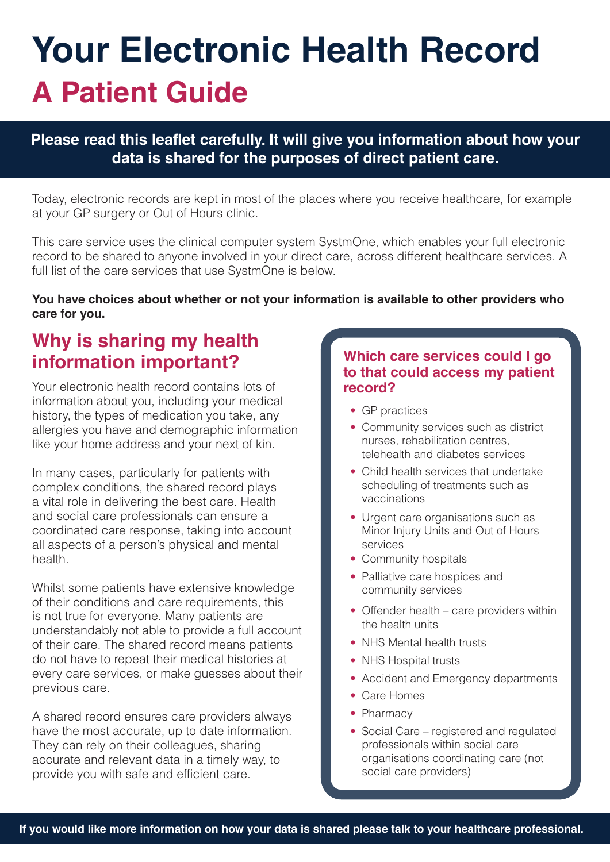# **Your Electronic Health Record A Patient Guide**

#### **Please read this leaflet carefully. It will give you information about how your data is shared for the purposes of direct patient care.**

Today, electronic records are kept in most of the places where you receive healthcare, for example at your GP surgery or Out of Hours clinic.

This care service uses the clinical computer system SystmOne, which enables your full electronic record to be shared to anyone involved in your direct care, across different healthcare services. A full list of the care services that use SystmOne is below.

#### **You have choices about whether or not your information is available to other providers who care for you.**

# **Why is sharing my health information important?**

Your electronic health record contains lots of information about you, including your medical history, the types of medication you take, any allergies you have and demographic information like your home address and your next of kin.

In many cases, particularly for patients with complex conditions, the shared record plays a vital role in delivering the best care. Health and social care professionals can ensure a coordinated care response, taking into account all aspects of a person's physical and mental health.

Whilst some patients have extensive knowledge of their conditions and care requirements, this is not true for everyone. Many patients are understandably not able to provide a full account of their care. The shared record means patients do not have to repeat their medical histories at every care services, or make guesses about their previous care.

A shared record ensures care providers always have the most accurate, up to date information. They can rely on their colleagues, sharing accurate and relevant data in a timely way, to provide you with safe and efficient care.

#### **Which care services could I go to that could access my patient record?**

- GP practices
- Community services such as district nurses, rehabilitation centres, telehealth and diabetes services
- Child health services that undertake scheduling of treatments such as vaccinations
- Urgent care organisations such as Minor Injury Units and Out of Hours services
- Community hospitals
- Palliative care hospices and community services
- Offender health care providers within the health units
- NHS Mental health trusts
- NHS Hospital trusts
- Accident and Emergency departments
- Care Homes
- Pharmacy
- Social Care registered and regulated professionals within social care organisations coordinating care (not social care providers)